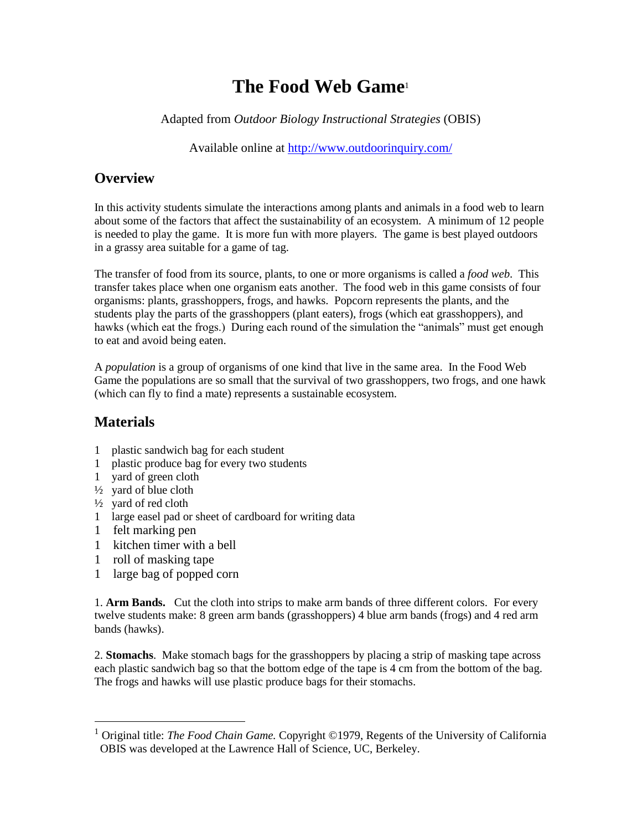# **The Food Web Game**<sup>1</sup>

Adapted from *Outdoor Biology Instructional Strategies* (OBIS)

Available online at<http://www.outdoorinquiry.com/>

#### **Overview**

In this activity students simulate the interactions among plants and animals in a food web to learn about some of the factors that affect the sustainability of an ecosystem. A minimum of 12 people is needed to play the game. It is more fun with more players. The game is best played outdoors in a grassy area suitable for a game of tag.

The transfer of food from its source, plants, to one or more organisms is called a *food web*. This transfer takes place when one organism eats another. The food web in this game consists of four organisms: plants, grasshoppers, frogs, and hawks. Popcorn represents the plants, and the students play the parts of the grasshoppers (plant eaters), frogs (which eat grasshoppers), and hawks (which eat the frogs.) During each round of the simulation the "animals" must get enough to eat and avoid being eaten.

A *population* is a group of organisms of one kind that live in the same area. In the Food Web Game the populations are so small that the survival of two grasshoppers, two frogs, and one hawk (which can fly to find a mate) represents a sustainable ecosystem.

## **Materials**

- 1 plastic sandwich bag for each student
- 1 plastic produce bag for every two students
- 1 yard of green cloth
- $\frac{1}{2}$  yard of blue cloth
- $\frac{1}{2}$  yard of red cloth
- 1 large easel pad or sheet of cardboard for writing data
- 1 felt marking pen

 $\overline{a}$ 

- 1 kitchen timer with a bell
- 1 roll of masking tape
- 1 large bag of popped corn

1. **Arm Bands.** Cut the cloth into strips to make arm bands of three different colors. For every twelve students make: 8 green arm bands (grasshoppers) 4 blue arm bands (frogs) and 4 red arm bands (hawks).

2. **Stomachs**. Make stomach bags for the grasshoppers by placing a strip of masking tape across each plastic sandwich bag so that the bottom edge of the tape is 4 cm from the bottom of the bag. The frogs and hawks will use plastic produce bags for their stomachs.

<sup>1</sup> Original title: *The Food Chain Game.* Copyright ©1979, Regents of the University of California OBIS was developed at the Lawrence Hall of Science, UC, Berkeley.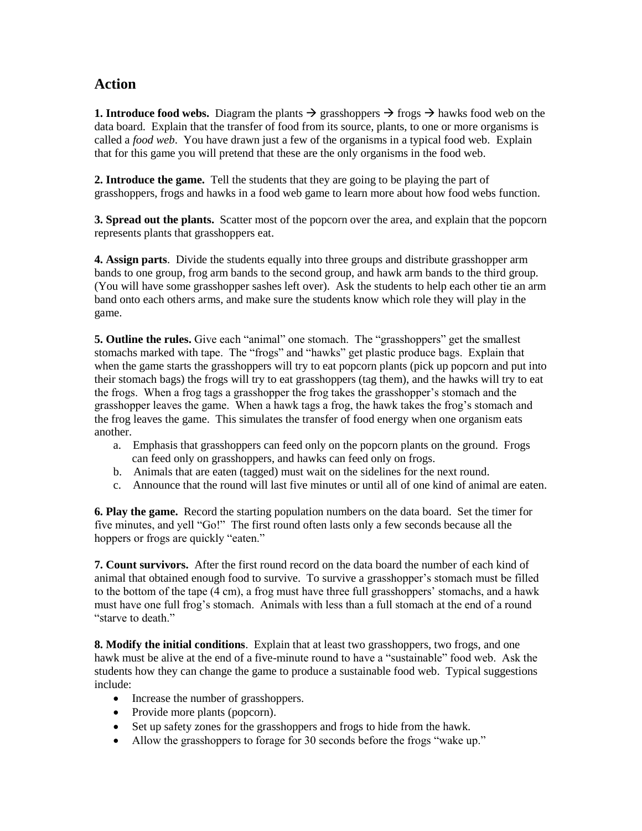### **Action**

**1. Introduce food webs.** Diagram the plants  $\rightarrow$  grasshoppers  $\rightarrow$  frogs  $\rightarrow$  hawks food web on the data board. Explain that the transfer of food from its source, plants, to one or more organisms is called a *food web*. You have drawn just a few of the organisms in a typical food web. Explain that for this game you will pretend that these are the only organisms in the food web.

**2. Introduce the game.** Tell the students that they are going to be playing the part of grasshoppers, frogs and hawks in a food web game to learn more about how food webs function.

**3. Spread out the plants.** Scatter most of the popcorn over the area, and explain that the popcorn represents plants that grasshoppers eat.

**4. Assign parts**. Divide the students equally into three groups and distribute grasshopper arm bands to one group, frog arm bands to the second group, and hawk arm bands to the third group. (You will have some grasshopper sashes left over). Ask the students to help each other tie an arm band onto each others arms, and make sure the students know which role they will play in the game.

**5. Outline the rules.** Give each "animal" one stomach. The "grasshoppers" get the smallest stomachs marked with tape. The "frogs" and "hawks" get plastic produce bags. Explain that when the game starts the grasshoppers will try to eat popcorn plants (pick up popcorn and put into their stomach bags) the frogs will try to eat grasshoppers (tag them), and the hawks will try to eat the frogs. When a frog tags a grasshopper the frog takes the grasshopper's stomach and the grasshopper leaves the game. When a hawk tags a frog, the hawk takes the frog's stomach and the frog leaves the game. This simulates the transfer of food energy when one organism eats another.

- a. Emphasis that grasshoppers can feed only on the popcorn plants on the ground. Frogs can feed only on grasshoppers, and hawks can feed only on frogs.
- b. Animals that are eaten (tagged) must wait on the sidelines for the next round.
- c. Announce that the round will last five minutes or until all of one kind of animal are eaten.

**6. Play the game.** Record the starting population numbers on the data board. Set the timer for five minutes, and yell "Go!" The first round often lasts only a few seconds because all the hoppers or frogs are quickly "eaten."

**7. Count survivors.** After the first round record on the data board the number of each kind of animal that obtained enough food to survive. To survive a grasshopper's stomach must be filled to the bottom of the tape (4 cm), a frog must have three full grasshoppers' stomachs, and a hawk must have one full frog's stomach. Animals with less than a full stomach at the end of a round "starve to death."

**8. Modify the initial conditions**. Explain that at least two grasshoppers, two frogs, and one hawk must be alive at the end of a five-minute round to have a "sustainable" food web. Ask the students how they can change the game to produce a sustainable food web. Typical suggestions include:

- Increase the number of grasshoppers.
- Provide more plants (popcorn).
- Set up safety zones for the grasshoppers and frogs to hide from the hawk.
- Allow the grasshoppers to forage for 30 seconds before the frogs "wake up."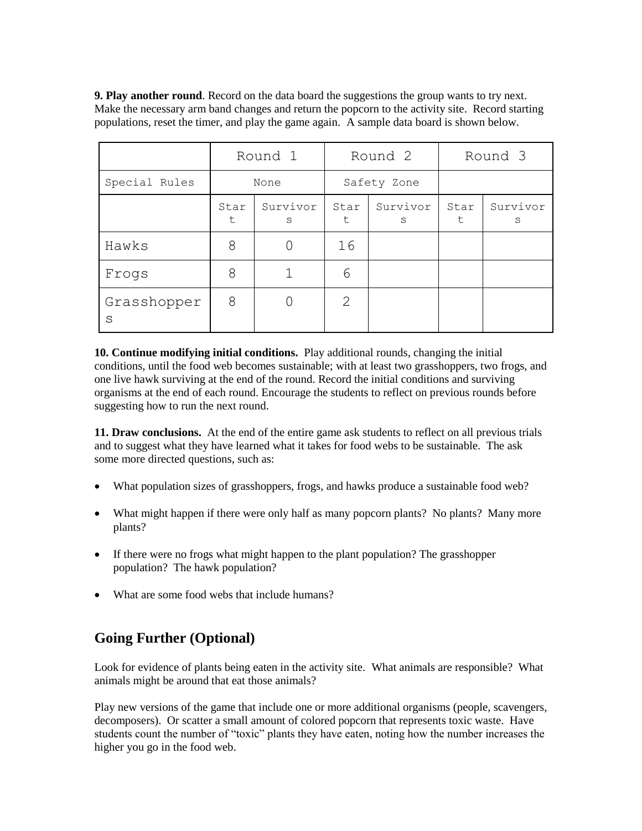**9. Play another round**. Record on the data board the suggestions the group wants to try next. Make the necessary arm band changes and return the popcorn to the activity site. Record starting populations, reset the timer, and play the game again. A sample data board is shown below.

|                  | Round 1    |               | Round 2        |               | Round 3    |               |
|------------------|------------|---------------|----------------|---------------|------------|---------------|
| Special Rules    | None       |               | Safety Zone    |               |            |               |
|                  | Star<br>t. | Survivor<br>S | Star<br>t.     | Survivor<br>S | Star<br>t. | Survivor<br>S |
| Hawks            | 8          |               | 16             |               |            |               |
| Frogs            | 8          |               | 6              |               |            |               |
| Grasshopper<br>S | 8          |               | $\overline{2}$ |               |            |               |

**10. Continue modifying initial conditions.** Play additional rounds, changing the initial conditions, until the food web becomes sustainable; with at least two grasshoppers, two frogs, and one live hawk surviving at the end of the round. Record the initial conditions and surviving organisms at the end of each round. Encourage the students to reflect on previous rounds before suggesting how to run the next round.

**11. Draw conclusions.** At the end of the entire game ask students to reflect on all previous trials and to suggest what they have learned what it takes for food webs to be sustainable. The ask some more directed questions, such as:

- What population sizes of grasshoppers, frogs, and hawks produce a sustainable food web?
- What might happen if there were only half as many popcorn plants? No plants? Many more plants?
- If there were no frogs what might happen to the plant population? The grasshopper population? The hawk population?
- What are some food webs that include humans?

### **Going Further (Optional)**

Look for evidence of plants being eaten in the activity site. What animals are responsible? What animals might be around that eat those animals?

Play new versions of the game that include one or more additional organisms (people, scavengers, decomposers). Or scatter a small amount of colored popcorn that represents toxic waste. Have students count the number of "toxic" plants they have eaten, noting how the number increases the higher you go in the food web.